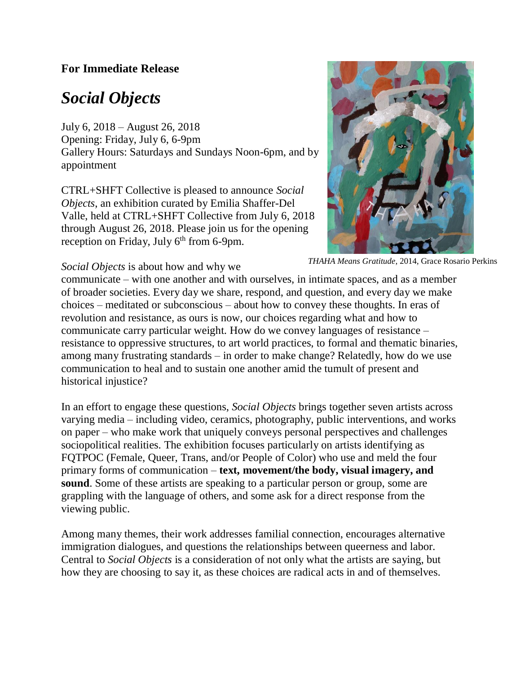## **For Immediate Release**

## *Social Objects*

July 6, 2018 – August 26, 2018 Opening: Friday, July 6, 6-9pm Gallery Hours: Saturdays and Sundays Noon-6pm, and by appointment

CTRL+SHFT Collective is pleased to announce *Social Objects*, an exhibition curated by Emilia Shaffer-Del Valle, held at CTRL+SHFT Collective from July 6, 2018 through August 26, 2018. Please join us for the opening reception on Friday, July  $6<sup>th</sup>$  from 6-9pm.



*THAHA Means Gratitude*, 2014, Grace Rosario Perkins

*Social Objects* is about how and why we

communicate – with one another and with ourselves, in intimate spaces, and as a member of broader societies. Every day we share, respond, and question, and every day we make choices – meditated or subconscious – about how to convey these thoughts. In eras of revolution and resistance, as ours is now, our choices regarding what and how to communicate carry particular weight. How do we convey languages of resistance – resistance to oppressive structures, to art world practices, to formal and thematic binaries, among many frustrating standards – in order to make change? Relatedly, how do we use communication to heal and to sustain one another amid the tumult of present and historical injustice? intima

In an effort to engage these questions, *Social Objects* brings together seven artists across varying media – including video, ceramics, photography, public interventions, and works on paper – who make work that uniquely conveys personal perspectives and challenges sociopolitical realities. The exhibition focuses particularly on artists identifying as FQTPOC (Female, Queer, Trans, and/or People of Color) who use and meld the four primary forms of communication – **text, movement/the body, visual imagery, and sound**. Some of these artists are speaking to a particular person or group, some are grappling with the language of others, and some ask for a direct response from the viewing public.

Among many themes, their work addresses familial connection, encourages alternative immigration dialogues, and questions the relationships between queerness and labor. Central to *Social Objects* is a consideration of not only what the artists are saying, but how they are choosing to say it, as these choices are radical acts in and of themselves.